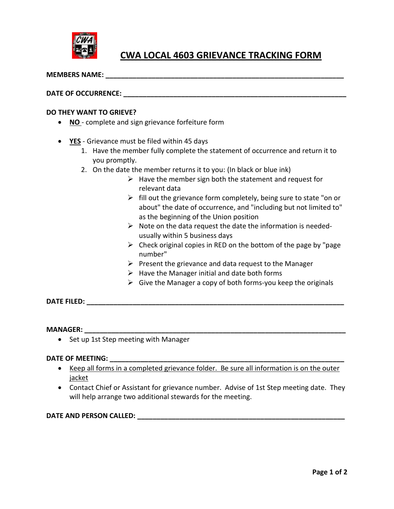

# **CWA LOCAL 4603 GRIEVANCE TRACKING FORM**

 $\blacksquare$  MEMBERS NAME:

## **DATE OF OCCURRENCE:**  $\blacksquare$

#### **DO THEY WANT TO GRIEVE?**

- **NO** complete and sign grievance forfeiture form
- **YES** Grievance must be filed within 45 days
	- 1. Have the member fully complete the statement of occurrence and return it to you promptly.
	- 2. On the date the member returns it to you: (In black or blue ink)
		- $\triangleright$  Have the member sign both the statement and request for relevant data
		- $\triangleright$  fill out the grievance form completely, being sure to state "on or about" the date of occurrence, and "including but not limited to" as the beginning of the Union position
		- $\triangleright$  Note on the data request the date the information is neededusually within 5 business days
		- $\triangleright$  Check original copies in RED on the bottom of the page by "page" number"
		- $\triangleright$  Present the grievance and data request to the Manager
		- $\triangleright$  Have the Manager initial and date both forms
		- $\triangleright$  Give the Manager a copy of both forms-you keep the originals

**DATE FILED: \_\_\_\_\_\_\_\_\_\_\_\_\_\_\_\_\_\_\_\_\_\_\_\_\_\_\_\_\_\_\_\_\_\_\_\_\_\_\_\_\_\_\_\_\_\_\_\_\_\_\_\_\_\_\_\_\_\_\_\_\_\_\_\_\_\_\_**

## $\blacksquare$   $\blacksquare$   $\blacksquare$   $\blacksquare$   $\blacksquare$   $\blacksquare$   $\blacksquare$   $\blacksquare$   $\blacksquare$   $\blacksquare$   $\blacksquare$   $\blacksquare$   $\blacksquare$   $\blacksquare$   $\blacksquare$   $\blacksquare$   $\blacksquare$   $\blacksquare$   $\blacksquare$   $\blacksquare$   $\blacksquare$   $\blacksquare$   $\blacksquare$   $\blacksquare$   $\blacksquare$   $\blacksquare$   $\blacksquare$   $\blacksquare$   $\blacksquare$   $\blacksquare$   $\blacksquare$   $\blacksquare$

• Set up 1st Step meeting with Manager

#### **DATE OF MEETING: \_\_\_\_\_\_\_\_\_\_\_\_\_\_\_\_\_\_\_\_\_\_\_\_\_\_\_\_\_\_\_\_\_\_\_\_\_\_\_\_\_\_\_\_\_\_\_\_\_\_\_\_\_\_\_\_\_\_\_\_\_**

- Keep all forms in a completed grievance folder. Be sure all information is on the outer jacket
- Contact Chief or Assistant for grievance number. Advise of 1st Step meeting date. They will help arrange two additional stewards for the meeting.

# **DATE AND PERSON CALLED: \_\_\_\_\_\_\_\_\_\_\_\_\_\_\_\_\_\_\_\_\_\_\_\_\_\_\_\_\_\_\_\_\_\_\_\_\_\_\_\_\_\_\_\_\_\_\_\_\_\_\_\_\_\_**